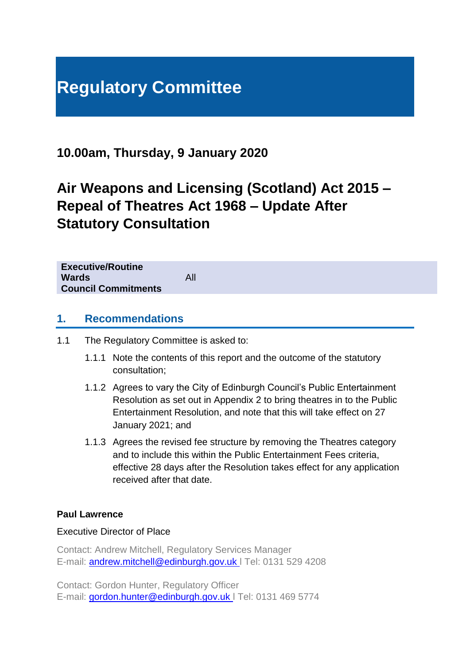# **Regulatory Committee**

**10.00am, Thursday, 9 January 2020**

# **Air Weapons and Licensing (Scotland) Act 2015 – Repeal of Theatres Act 1968 – Update After Statutory Consultation**

**Executive/Routine Wards** All **Council Commitments**

## **1. Recommendations**

- 1.1 The Regulatory Committee is asked to:
	- 1.1.1 Note the contents of this report and the outcome of the statutory consultation;
	- 1.1.2 Agrees to vary the City of Edinburgh Council's Public Entertainment Resolution as set out in Appendix 2 to bring theatres in to the Public Entertainment Resolution, and note that this will take effect on 27 January 2021; and
	- 1.1.3 Agrees the revised fee structure by removing the Theatres category and to include this within the Public Entertainment Fees criteria, effective 28 days after the Resolution takes effect for any application received after that date.

## **Paul Lawrence**

#### Executive Director of Place

Contact: Andrew Mitchell, Regulatory Services Manager E-mail: [andrew.mitchell@edinburgh.gov.uk](mailto:andrew.mitchell@edinburgh.gov.uk) l Tel: 0131 529 4208

Contact: Gordon Hunter, Regulatory Officer E-mail: [gordon.hunter@edinburgh.gov.uk](mailto:gordon.hunter@edinburgh.gov.uk) l Tel: 0131 469 5774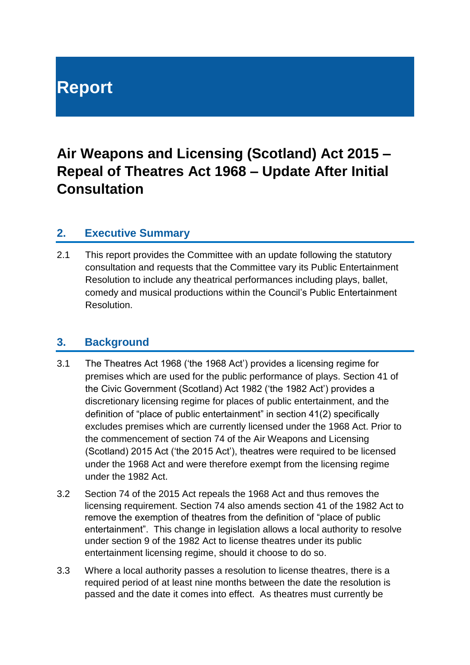# **Report**

# **Air Weapons and Licensing (Scotland) Act 2015 – Repeal of Theatres Act 1968 – Update After Initial Consultation**

## **2. Executive Summary**

2.1 This report provides the Committee with an update following the statutory consultation and requests that the Committee vary its Public Entertainment Resolution to include any theatrical performances including plays, ballet, comedy and musical productions within the Council's Public Entertainment Resolution.

## **3. Background**

- 3.1 The Theatres Act 1968 ('the 1968 Act') provides a licensing regime for premises which are used for the public performance of plays. Section 41 of the Civic Government (Scotland) Act 1982 ('the 1982 Act') provides a discretionary licensing regime for places of public entertainment, and the definition of "place of public entertainment" in section 41(2) specifically excludes premises which are currently licensed under the 1968 Act. Prior to the commencement of section 74 of the Air Weapons and Licensing (Scotland) 2015 Act ('the 2015 Act'), theatres were required to be licensed under the 1968 Act and were therefore exempt from the licensing regime under the 1982 Act.
- 3.2 Section 74 of the 2015 Act repeals the 1968 Act and thus removes the licensing requirement. Section 74 also amends section 41 of the 1982 Act to remove the exemption of theatres from the definition of "place of public entertainment". This change in legislation allows a local authority to resolve under section 9 of the 1982 Act to license theatres under its public entertainment licensing regime, should it choose to do so.
- 3.3 Where a local authority passes a resolution to license theatres, there is a required period of at least nine months between the date the resolution is passed and the date it comes into effect. As theatres must currently be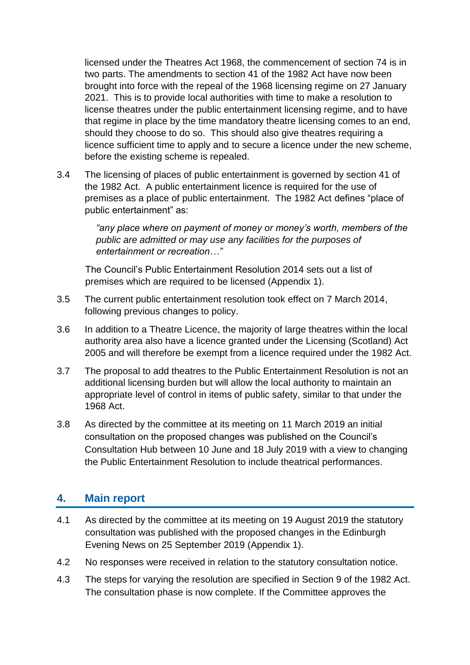licensed under the Theatres Act 1968, the commencement of section 74 is in two parts. The amendments to section 41 of the 1982 Act have now been brought into force with the repeal of the 1968 licensing regime on 27 January 2021. This is to provide local authorities with time to make a resolution to license theatres under the public entertainment licensing regime, and to have that regime in place by the time mandatory theatre licensing comes to an end, should they choose to do so. This should also give theatres requiring a licence sufficient time to apply and to secure a licence under the new scheme, before the existing scheme is repealed.

3.4 The licensing of places of public entertainment is governed by section 41 of the 1982 Act. A public entertainment licence is required for the use of premises as a place of public entertainment. The 1982 Act defines "place of public entertainment" as:

> *"any place where on payment of money or money's worth, members of the public are admitted or may use any facilities for the purposes of entertainment or recreation…"*

The Council's Public Entertainment Resolution 2014 sets out a list of premises which are required to be licensed (Appendix 1).

- 3.5 The current public entertainment resolution took effect on 7 March 2014, following previous changes to policy.
- 3.6 In addition to a Theatre Licence, the majority of large theatres within the local authority area also have a licence granted under the Licensing (Scotland) Act 2005 and will therefore be exempt from a licence required under the 1982 Act.
- 3.7 The proposal to add theatres to the Public Entertainment Resolution is not an additional licensing burden but will allow the local authority to maintain an appropriate level of control in items of public safety, similar to that under the 1968 Act.
- 3.8 As directed by the committee at its meeting on 11 March 2019 an initial consultation on the proposed changes was published on the Council's Consultation Hub between 10 June and 18 July 2019 with a view to changing the Public Entertainment Resolution to include theatrical performances.

## **4. Main report**

- 4.1 As directed by the committee at its meeting on 19 August 2019 the statutory consultation was published with the proposed changes in the Edinburgh Evening News on 25 September 2019 (Appendix 1).
- 4.2 No responses were received in relation to the statutory consultation notice.
- 4.3 The steps for varying the resolution are specified in Section 9 of the 1982 Act. The consultation phase is now complete. If the Committee approves the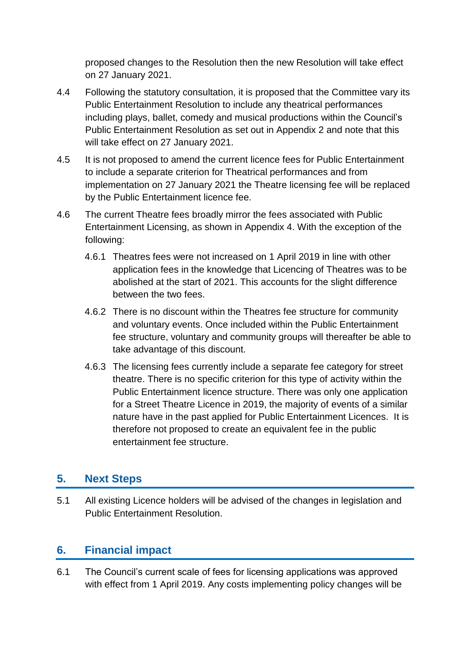proposed changes to the Resolution then the new Resolution will take effect on 27 January 2021.

- 4.4 Following the statutory consultation, it is proposed that the Committee vary its Public Entertainment Resolution to include any theatrical performances including plays, ballet, comedy and musical productions within the Council's Public Entertainment Resolution as set out in Appendix 2 and note that this will take effect on 27 January 2021.
- 4.5 It is not proposed to amend the current licence fees for Public Entertainment to include a separate criterion for Theatrical performances and from implementation on 27 January 2021 the Theatre licensing fee will be replaced by the Public Entertainment licence fee.
- 4.6 The current Theatre fees broadly mirror the fees associated with Public Entertainment Licensing, as shown in Appendix 4. With the exception of the following:
	- 4.6.1 Theatres fees were not increased on 1 April 2019 in line with other application fees in the knowledge that Licencing of Theatres was to be abolished at the start of 2021. This accounts for the slight difference between the two fees.
	- 4.6.2 There is no discount within the Theatres fee structure for community and voluntary events. Once included within the Public Entertainment fee structure, voluntary and community groups will thereafter be able to take advantage of this discount.
	- 4.6.3 The licensing fees currently include a separate fee category for street theatre. There is no specific criterion for this type of activity within the Public Entertainment licence structure. There was only one application for a Street Theatre Licence in 2019, the majority of events of a similar nature have in the past applied for Public Entertainment Licences. It is therefore not proposed to create an equivalent fee in the public entertainment fee structure.

# **5. Next Steps**

5.1 All existing Licence holders will be advised of the changes in legislation and Public Entertainment Resolution.

# **6. Financial impact**

6.1 The Council's current scale of fees for licensing applications was approved with effect from 1 April 2019. Any costs implementing policy changes will be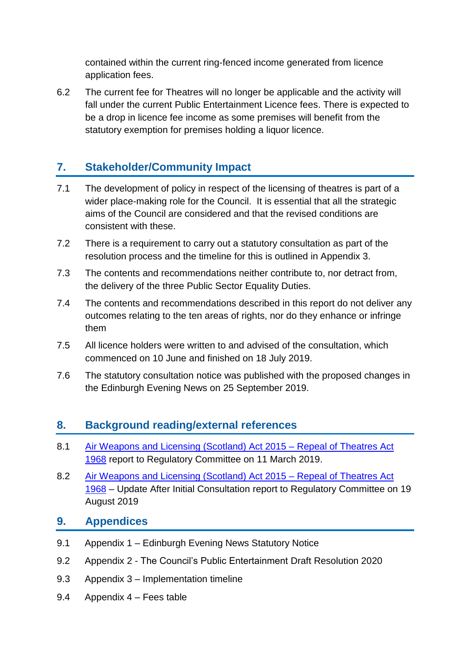contained within the current ring-fenced income generated from licence application fees.

6.2 The current fee for Theatres will no longer be applicable and the activity will fall under the current Public Entertainment Licence fees. There is expected to be a drop in licence fee income as some premises will benefit from the statutory exemption for premises holding a liquor licence.

# **7. Stakeholder/Community Impact**

- 7.1 The development of policy in respect of the licensing of theatres is part of a wider place-making role for the Council. It is essential that all the strategic aims of the Council are considered and that the revised conditions are consistent with these.
- 7.2 There is a requirement to carry out a statutory consultation as part of the resolution process and the timeline for this is outlined in Appendix 3.
- 7.3 The contents and recommendations neither contribute to, nor detract from, the delivery of the three Public Sector Equality Duties.
- 7.4 The contents and recommendations described in this report do not deliver any outcomes relating to the ten areas of rights, nor do they enhance or infringe them
- 7.5 All licence holders were written to and advised of the consultation, which commenced on 10 June and finished on 18 July 2019.
- 7.6 The statutory consultation notice was published with the proposed changes in the Edinburgh Evening News on 25 September 2019.

# **8. Background reading/external references**

- 8.1 Air Weapons [and Licensing \(Scotland\) Act 2015 –](https://democracy.edinburgh.gov.uk/Data/Regulatory%20Committee/20190311/Agenda/item_71_-_air_weapons_and_licensing_scotland_act_2015_-_repeal_of_theatres_act_1968pdf.pdf) Repeal of Theatres Act [1968](https://democracy.edinburgh.gov.uk/Data/Regulatory%20Committee/20190311/Agenda/item_71_-_air_weapons_and_licensing_scotland_act_2015_-_repeal_of_theatres_act_1968pdf.pdf) report to Regulatory Committee on 11 March 2019.
- 8.2 [Air Weapons and Licensing \(Scotland\) Act 2015 –](https://democracy.edinburgh.gov.uk/documents/s5008/RC_Air%20Weapons%20and%20Licensing%20Scotland%20Act%202015%20-%20Repeal%20of%20Theatres%20Act%201968%20Update%20After%20Consult.pdf) Repeal of Theatres Act [1968](https://democracy.edinburgh.gov.uk/documents/s5008/RC_Air%20Weapons%20and%20Licensing%20Scotland%20Act%202015%20-%20Repeal%20of%20Theatres%20Act%201968%20Update%20After%20Consult.pdf) – Update After Initial Consultation report to Regulatory Committee on 19 August 2019

## **9. Appendices**

- 9.1 Appendix 1 Edinburgh Evening News Statutory Notice
- 9.2 Appendix 2 The Council's Public Entertainment Draft Resolution 2020
- 9.3 Appendix 3 Implementation timeline
- 9.4 Appendix 4 Fees table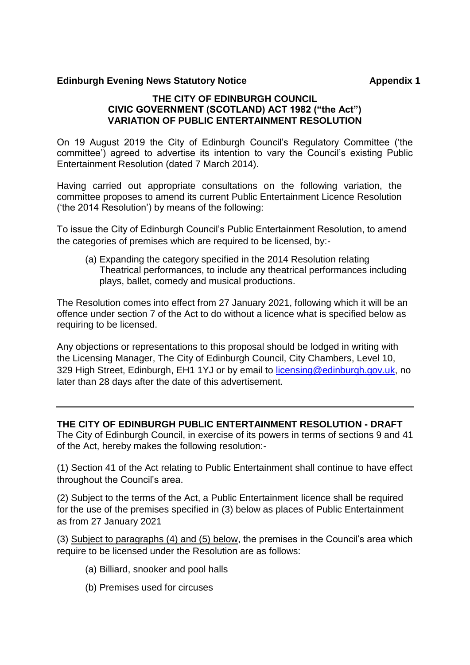#### **Edinburgh Evening News Statutory Notice <b>Appendix 1** Appendix 1

#### **THE CITY OF EDINBURGH COUNCIL CIVIC GOVERNMENT (SCOTLAND) ACT 1982 ("the Act") VARIATION OF PUBLIC ENTERTAINMENT RESOLUTION**

On 19 August 2019 the City of Edinburgh Council's Regulatory Committee ('the committee') agreed to advertise its intention to vary the Council's existing Public Entertainment Resolution (dated 7 March 2014).

Having carried out appropriate consultations on the following variation, the committee proposes to amend its current Public Entertainment Licence Resolution ('the 2014 Resolution') by means of the following:

To issue the City of Edinburgh Council's Public Entertainment Resolution, to amend the categories of premises which are required to be licensed, by:-

(a) Expanding the category specified in the 2014 Resolution relating Theatrical performances, to include any theatrical performances including plays, ballet, comedy and musical productions.

The Resolution comes into effect from 27 January 2021, following which it will be an offence under section 7 of the Act to do without a licence what is specified below as requiring to be licensed.

Any objections or representations to this proposal should be lodged in writing with the Licensing Manager, The City of Edinburgh Council, City Chambers, Level 10, 329 High Street, Edinburgh, EH1 1YJ or by email to [licensing@edinburgh.gov.uk,](mailto:licensing@edinburgh.gov.uk) no later than 28 days after the date of this advertisement.

#### **THE CITY OF EDINBURGH PUBLIC ENTERTAINMENT RESOLUTION - DRAFT**

The City of Edinburgh Council, in exercise of its powers in terms of sections 9 and 41 of the Act, hereby makes the following resolution:-

(1) Section 41 of the Act relating to Public Entertainment shall continue to have effect throughout the Council's area.

(2) Subject to the terms of the Act, a Public Entertainment licence shall be required for the use of the premises specified in (3) below as places of Public Entertainment as from 27 January 2021

(3) Subject to paragraphs (4) and (5) below, the premises in the Council's area which require to be licensed under the Resolution are as follows:

- (a) Billiard, snooker and pool halls
- (b) Premises used for circuses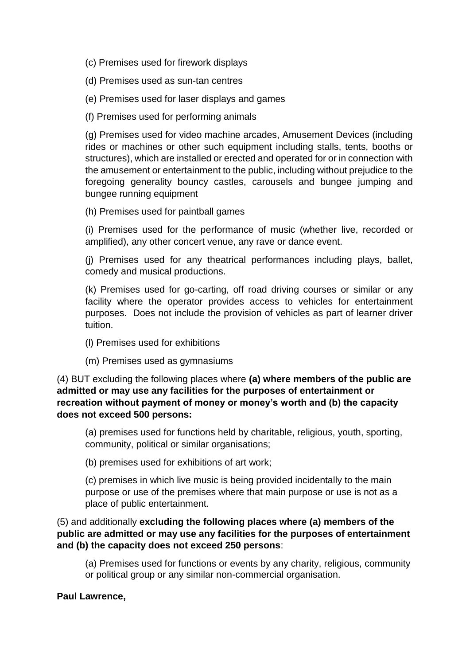(c) Premises used for firework displays

(d) Premises used as sun-tan centres

(e) Premises used for laser displays and games

(f) Premises used for performing animals

(g) Premises used for video machine arcades, Amusement Devices (including rides or machines or other such equipment including stalls, tents, booths or structures), which are installed or erected and operated for or in connection with the amusement or entertainment to the public, including without prejudice to the foregoing generality bouncy castles, carousels and bungee jumping and bungee running equipment

(h) Premises used for paintball games

(i) Premises used for the performance of music (whether live, recorded or amplified), any other concert venue, any rave or dance event.

(j) Premises used for any theatrical performances including plays, ballet, comedy and musical productions.

(k) Premises used for go-carting, off road driving courses or similar or any facility where the operator provides access to vehicles for entertainment purposes. Does not include the provision of vehicles as part of learner driver tuition.

- (l) Premises used for exhibitions
- (m) Premises used as gymnasiums

(4) BUT excluding the following places where **(a) where members of the public are admitted or may use any facilities for the purposes of entertainment or recreation without payment of money or money's worth and (b) the capacity does not exceed 500 persons:** 

(a) premises used for functions held by charitable, religious, youth, sporting, community, political or similar organisations;

(b) premises used for exhibitions of art work;

(c) premises in which live music is being provided incidentally to the main purpose or use of the premises where that main purpose or use is not as a place of public entertainment.

(5) and additionally **excluding the following places where (a) members of the public are admitted or may use any facilities for the purposes of entertainment and (b) the capacity does not exceed 250 persons**:

(a) Premises used for functions or events by any charity, religious, community or political group or any similar non-commercial organisation.

#### **Paul Lawrence,**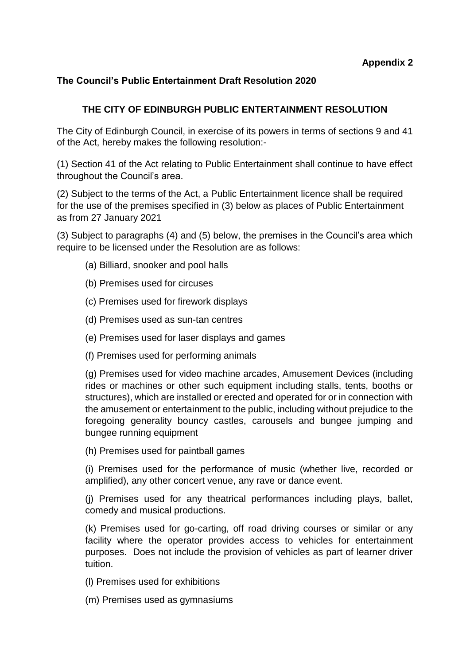### **The Council's Public Entertainment Draft Resolution 2020**

## **THE CITY OF EDINBURGH PUBLIC ENTERTAINMENT RESOLUTION**

The City of Edinburgh Council, in exercise of its powers in terms of sections 9 and 41 of the Act, hereby makes the following resolution:-

(1) Section 41 of the Act relating to Public Entertainment shall continue to have effect throughout the Council's area.

(2) Subject to the terms of the Act, a Public Entertainment licence shall be required for the use of the premises specified in (3) below as places of Public Entertainment as from 27 January 2021

(3) Subject to paragraphs (4) and (5) below, the premises in the Council's area which require to be licensed under the Resolution are as follows:

- (a) Billiard, snooker and pool halls
- (b) Premises used for circuses
- (c) Premises used for firework displays
- (d) Premises used as sun-tan centres
- (e) Premises used for laser displays and games
- (f) Premises used for performing animals

(g) Premises used for video machine arcades, Amusement Devices (including rides or machines or other such equipment including stalls, tents, booths or structures), which are installed or erected and operated for or in connection with the amusement or entertainment to the public, including without prejudice to the foregoing generality bouncy castles, carousels and bungee jumping and bungee running equipment

(h) Premises used for paintball games

(i) Premises used for the performance of music (whether live, recorded or amplified), any other concert venue, any rave or dance event.

(j) Premises used for any theatrical performances including plays, ballet, comedy and musical productions.

(k) Premises used for go-carting, off road driving courses or similar or any facility where the operator provides access to vehicles for entertainment purposes. Does not include the provision of vehicles as part of learner driver tuition.

- (l) Premises used for exhibitions
- (m) Premises used as gymnasiums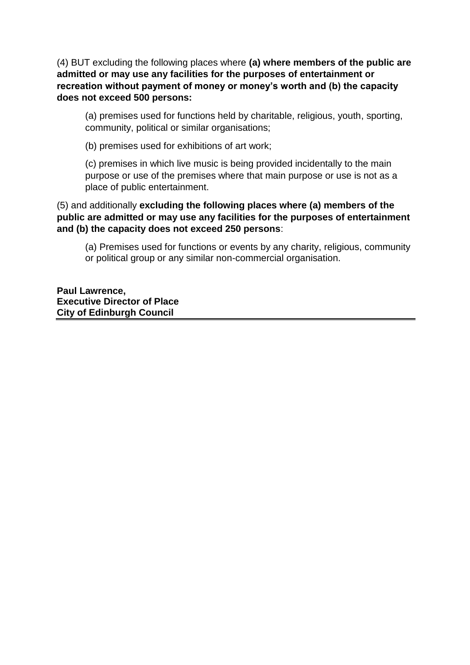(4) BUT excluding the following places where **(a) where members of the public are admitted or may use any facilities for the purposes of entertainment or recreation without payment of money or money's worth and (b) the capacity does not exceed 500 persons:** 

(a) premises used for functions held by charitable, religious, youth, sporting, community, political or similar organisations;

(b) premises used for exhibitions of art work;

(c) premises in which live music is being provided incidentally to the main purpose or use of the premises where that main purpose or use is not as a place of public entertainment.

(5) and additionally **excluding the following places where (a) members of the public are admitted or may use any facilities for the purposes of entertainment and (b) the capacity does not exceed 250 persons**:

(a) Premises used for functions or events by any charity, religious, community or political group or any similar non-commercial organisation.

**Paul Lawrence, Executive Director of Place City of Edinburgh Council**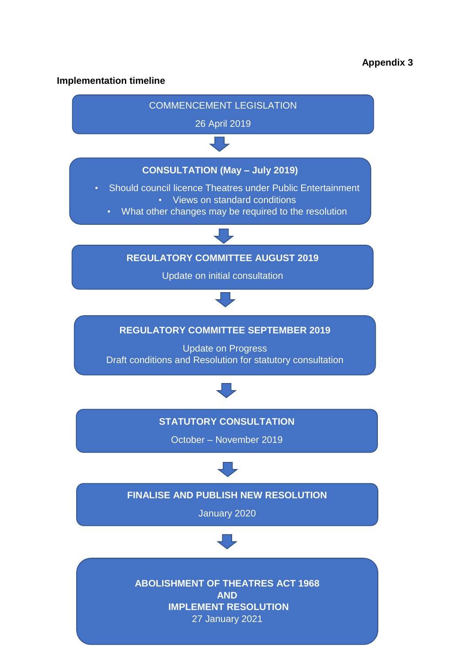#### **Implementation timeline**

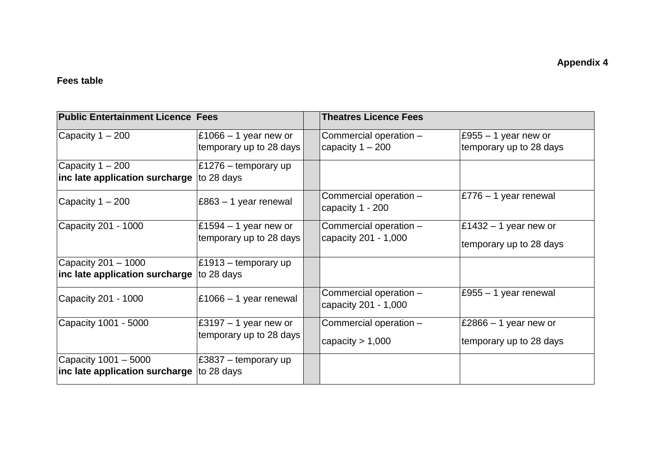## **Fees table**

| <b>Public Entertainment Licence Fees</b>                             |                                                    | <b>Theatres Licence Fees</b>                   |                                                                 |
|----------------------------------------------------------------------|----------------------------------------------------|------------------------------------------------|-----------------------------------------------------------------|
| Capacity $1 - 200$                                                   | £1066 $-$ 1 year new or<br>temporary up to 28 days | Commercial operation -<br>capacity $1 - 200$   | $E955 - 1$ year new or<br>temporary up to 28 days               |
| Capacity $1 - 200$<br>inc late application surcharge to 28 days      | E1276 – temporary up                               |                                                |                                                                 |
| Capacity $1 - 200$                                                   | £863 – 1 year renewal                              | Commercial operation -<br>capacity 1 - 200     | $\vert$ £776 – 1 year renewal                                   |
| Capacity 201 - 1000                                                  | £1594 $-$ 1 year new or<br>temporary up to 28 days | Commercial operation -<br>capacity 201 - 1,000 | $\text{\pounds}1432 - 1$ year new or<br>temporary up to 28 days |
| Capacity 201 - 1000<br>inc late application surcharge $ $ to 28 days | $\vert$ £1913 – temporary up                       |                                                |                                                                 |
| Capacity 201 - 1000                                                  | $\pm 1066 - 1$ year renewal                        | Commercial operation -<br>capacity 201 - 1,000 | $E955 - 1$ year renewal                                         |
| Capacity 1001 - 5000                                                 | £3197 $-$ 1 year new or<br>temporary up to 28 days | Commercial operation -<br>capacity $> 1,000$   | $\textsf{E}2866 - 1$ year new or<br>temporary up to 28 days     |
| Capacity 1001 - 5000<br>inc late application surcharge to 28 days    | £3837 – temporary up                               |                                                |                                                                 |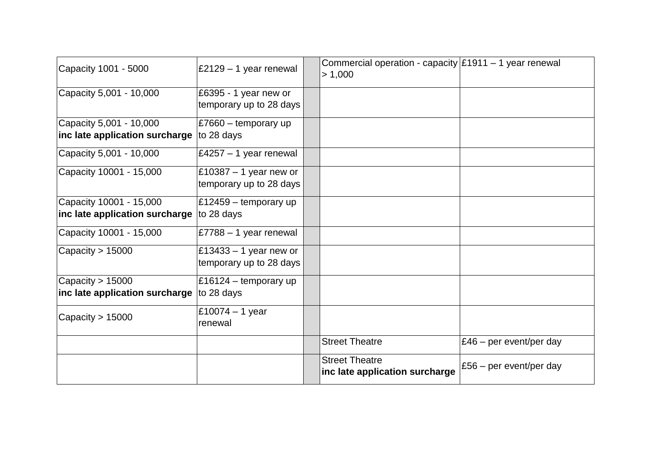| Capacity 1001 - 5000                                                 | $\vert$ £2129 – 1 year renewal                            | Commercial operation - capacity $\frac{1}{2}$ 1911 – 1 year renewal<br>> 1,000 |                           |
|----------------------------------------------------------------------|-----------------------------------------------------------|--------------------------------------------------------------------------------|---------------------------|
| Capacity 5,001 - 10,000                                              | £6395 - 1 year new or<br>temporary up to 28 days          |                                                                                |                           |
| Capacity 5,001 - 10,000<br>inc late application surcharge to 28 days | £7660 – temporary up                                      |                                                                                |                           |
|                                                                      |                                                           |                                                                                |                           |
| Capacity 5,001 - 10,000                                              | $\text{\pounds}4257 - 1$ year renewal                     |                                                                                |                           |
| Capacity 10001 - 15,000                                              | $\vert$ £10387 – 1 year new or<br>temporary up to 28 days |                                                                                |                           |
| Capacity 10001 - 15,000                                              | $\vert$ £12459 – temporary up                             |                                                                                |                           |
| inc late application surcharge $ $ to 28 days                        |                                                           |                                                                                |                           |
| Capacity 10001 - 15,000                                              | $\,$ £7788 – 1 year renewal                               |                                                                                |                           |
| Capacity $> 15000$                                                   | $\vert$ £13433 – 1 year new or<br>temporary up to 28 days |                                                                                |                           |
| Capacity $> 15000$                                                   | $\text{\pounds}16124 - \text{temporary up}$               |                                                                                |                           |
| inc late application surcharge $ $ to 28 days                        |                                                           |                                                                                |                           |
| Capacity > 15000                                                     | £10074 – 1 year<br>renewal                                |                                                                                |                           |
|                                                                      |                                                           | <b>Street Theatre</b>                                                          | £46 – per event/per day   |
|                                                                      |                                                           | <b>Street Theatre</b><br>inc late application surcharge                        | £56 $-$ per event/per day |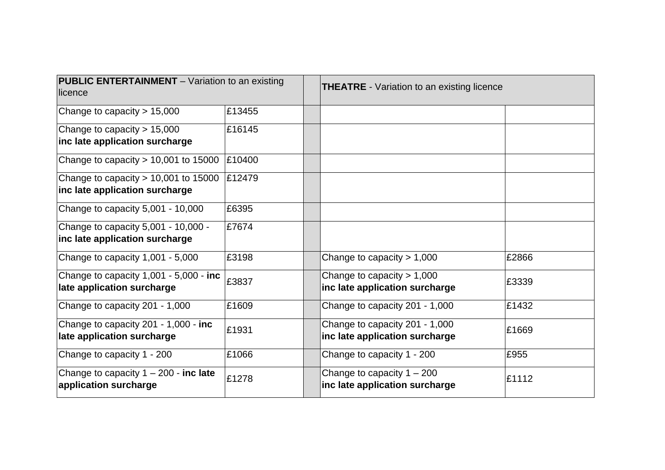| <b>PUBLIC ENTERTAINMENT</b> – Variation to an existing<br>licence        |        | <b>THEATRE</b> - Variation to an existing licence                |       |
|--------------------------------------------------------------------------|--------|------------------------------------------------------------------|-------|
| Change to capacity $> 15,000$                                            | £13455 |                                                                  |       |
| Change to capacity $> 15,000$<br>inc late application surcharge          | £16145 |                                                                  |       |
| Change to capacity $> 10,001$ to 15000                                   | £10400 |                                                                  |       |
| Change to capacity $> 10,001$ to 15000<br>inc late application surcharge | £12479 |                                                                  |       |
| Change to capacity 5,001 - 10,000                                        | £6395  |                                                                  |       |
| Change to capacity 5,001 - 10,000 -<br>inc late application surcharge    | £7674  |                                                                  |       |
| Change to capacity 1,001 - 5,000                                         | £3198  | Change to capacity $> 1,000$                                     | £2866 |
| Change to capacity 1,001 - 5,000 - inc<br>late application surcharge     | £3837  | Change to capacity $> 1,000$<br>inc late application surcharge   | £3339 |
| Change to capacity 201 - 1,000                                           | £1609  | Change to capacity 201 - 1,000                                   | £1432 |
| Change to capacity 201 - 1,000 - inc<br>late application surcharge       | £1931  | Change to capacity 201 - 1,000<br>inc late application surcharge | £1669 |
| Change to capacity 1 - 200                                               | £1066  | Change to capacity 1 - 200                                       | £955  |
| Change to capacity $1 - 200$ - inc late<br>application surcharge         | £1278  | Change to capacity $1 - 200$<br>inc late application surcharge   | £1112 |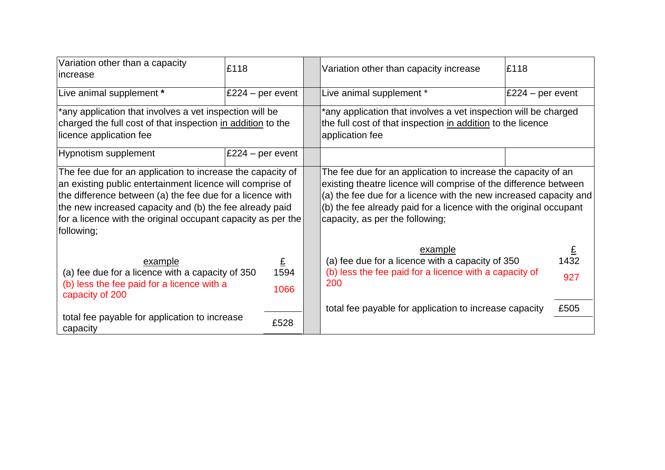| Variation other than a capacity<br>lincrease                                                                                                                                                                                                                                                                                  | £118              | Variation other than capacity increase                                                                                                                                                                                                                                                                         | £118             |
|-------------------------------------------------------------------------------------------------------------------------------------------------------------------------------------------------------------------------------------------------------------------------------------------------------------------------------|-------------------|----------------------------------------------------------------------------------------------------------------------------------------------------------------------------------------------------------------------------------------------------------------------------------------------------------------|------------------|
| Live animal supplement *                                                                                                                                                                                                                                                                                                      | £224 – per event  | Live animal supplement *                                                                                                                                                                                                                                                                                       | £224 – per event |
| *any application that involves a vet inspection will be<br>charged the full cost of that inspection in addition to the<br>licence application fee                                                                                                                                                                             |                   | *any application that involves a vet inspection will be charged<br>the full cost of that inspection in addition to the licence<br>application fee                                                                                                                                                              |                  |
| <b>Hypnotism supplement</b>                                                                                                                                                                                                                                                                                                   | £224 – per event  |                                                                                                                                                                                                                                                                                                                |                  |
| The fee due for an application to increase the capacity of<br>an existing public entertainment licence will comprise of<br>the difference between (a) the fee due for a licence with<br>the new increased capacity and (b) the fee already paid<br>for a licence with the original occupant capacity as per the<br>following; |                   | The fee due for an application to increase the capacity of an<br>existing theatre licence will comprise of the difference between<br>(a) the fee due for a licence with the new increased capacity and<br>(b) the fee already paid for a licence with the original occupant<br>capacity, as per the following; |                  |
| example<br>(a) fee due for a licence with a capacity of 350<br>(b) less the fee paid for a licence with a<br>capacity of 200                                                                                                                                                                                                  | £<br>1594<br>1066 | example<br>(a) fee due for a licence with a capacity of 350<br>(b) less the fee paid for a licence with a capacity of<br>200                                                                                                                                                                                   | £<br>1432<br>927 |
| total fee payable for application to increase<br>capacity                                                                                                                                                                                                                                                                     | £528              | total fee payable for application to increase capacity                                                                                                                                                                                                                                                         | £505             |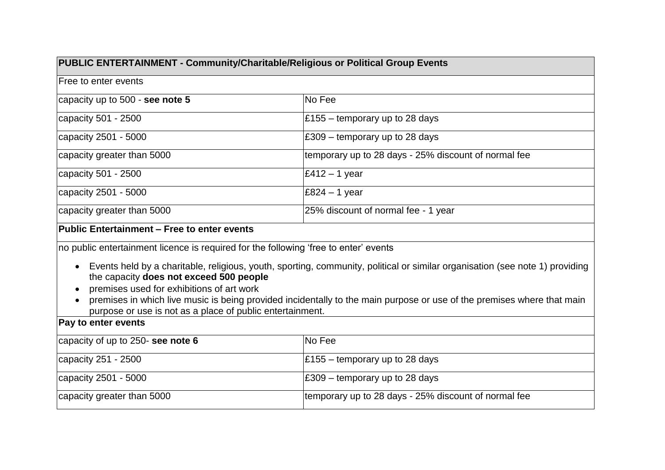| PUBLIC ENTERTAINMENT - Community/Charitable/Religious or Political Group Events      |                                                      |  |  |
|--------------------------------------------------------------------------------------|------------------------------------------------------|--|--|
| Free to enter events                                                                 |                                                      |  |  |
| capacity up to 500 - see note 5                                                      | No Fee                                               |  |  |
| capacity 501 - 2500                                                                  | $\pm 155$ – temporary up to 28 days                  |  |  |
| capacity 2501 - 5000                                                                 | $\,\mathsf{E}309$ – temporary up to 28 days          |  |  |
| capacity greater than 5000                                                           | temporary up to 28 days - 25% discount of normal fee |  |  |
| capacity 501 - 2500                                                                  | $\text{\pounds}412 - 1$ year                         |  |  |
| capacity 2501 - 5000                                                                 | $E824 - 1$ year                                      |  |  |
| capacity greater than 5000                                                           | 25% discount of normal fee - 1 year                  |  |  |
| Public Entertainment - Free to enter events                                          |                                                      |  |  |
| no public entertainment licence is required for the following 'free to enter' events |                                                      |  |  |

- Events held by a charitable, religious, youth, sporting, community, political or similar organisation (see note 1) providing the capacity **does not exceed 500 people**
- premises used for exhibitions of art work
- premises in which live music is being provided incidentally to the main purpose or use of the premises where that main purpose or use is not as a place of public entertainment.

### **Pay to enter events**

| capacity of up to 250- see note 6 | <b>No Fee</b>                                        |
|-----------------------------------|------------------------------------------------------|
| capacity $251 - 2500$             | $\pm 155$ – temporary up to 28 days                  |
| $ $ capacity 2501 - 5000          | $\,\mathsf{E}309$ – temporary up to 28 days          |
| capacity greater than 5000        | temporary up to 28 days - 25% discount of normal fee |